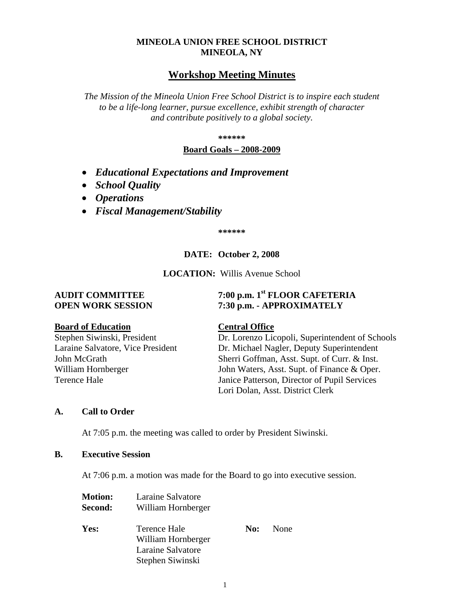## **MINEOLA UNION FREE SCHOOL DISTRICT MINEOLA, NY**

# **Workshop Meeting Minutes**

*The Mission of the Mineola Union Free School District is to inspire each student to be a life-long learner, pursue excellence, exhibit strength of character and contribute positively to a global society.*

**\*\*\*\*\*\***

#### **Board Goals – 2008-2009**

- *Educational Expectations and Improvement*
- *School Quality*
- *Operations*
- *Fiscal Management/Stability*

**\*\*\*\*\*\***

## **DATE: October 2, 2008**

**LOCATION:** Willis Avenue School

# **AUDIT COMMITTEE 7:00 p.m. 1st FLOOR CAFETERIA OPEN WORK SESSION 7:30 p.m. - APPROXIMATELY**

### **Board of Education Central Office**

Stephen Siwinski, President Dr. Lorenzo Licopoli, Superintendent of Schools Laraine Salvatore, Vice President Dr. Michael Nagler, Deputy Superintendent John McGrath Sherri Goffman, Asst. Supt. of Curr. & Inst. William Hornberger John Waters, Asst. Supt. of Finance & Oper. Terence Hale Janice Patterson, Director of Pupil Services Lori Dolan, Asst. District Clerk

### **A. Call to Order**

At 7:05 p.m. the meeting was called to order by President Siwinski.

### **B. Executive Session**

At 7:06 p.m. a motion was made for the Board to go into executive session.

| <b>Motion:</b> | Laraine Salvatore  |     |      |
|----------------|--------------------|-----|------|
| Second:        | William Hornberger |     |      |
|                |                    |     |      |
| Yes:           | Terence Hale       | No: | None |
|                | William Hornberger |     |      |
|                | Laraine Salvatore  |     |      |
|                | Stephen Siwinski   |     |      |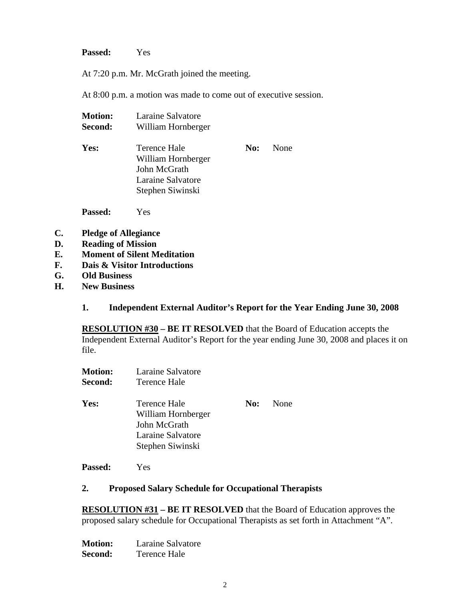**Passed:** Yes

At 7:20 p.m. Mr. McGrath joined the meeting.

At 8:00 p.m. a motion was made to come out of executive session.

| <b>Motion:</b> | Laraine Salvatore                                                                           |     |      |
|----------------|---------------------------------------------------------------------------------------------|-----|------|
| Second:        | William Hornberger                                                                          |     |      |
| Yes:           | Terence Hale<br>William Hornberger<br>John McGrath<br>Laraine Salvatore<br>Stephen Siwinski | No: | None |
|                |                                                                                             |     |      |

**Passed:** Yes

- **C. Pledge of Allegiance**
- **D. Reading of Mission**
- **E. Moment of Silent Meditation**
- **F. Dais & Visitor Introductions**
- **G. Old Business**
- **H. New Business**

### **1. Independent External Auditor's Report for the Year Ending June 30, 2008**

**RESOLUTION #30 – BE IT RESOLVED** that the Board of Education accepts the Independent External Auditor's Report for the year ending June 30, 2008 and places it on file.

| <b>Motion:</b> | Laraine Salvatore                                                                           |     |      |
|----------------|---------------------------------------------------------------------------------------------|-----|------|
| Second:        | Terence Hale                                                                                |     |      |
| Yes:           | Terence Hale<br>William Hornberger<br>John McGrath<br>Laraine Salvatore<br>Stephen Siwinski | No: | None |
|                |                                                                                             |     |      |

**Passed:** Yes

### **2. Proposed Salary Schedule for Occupational Therapists**

**RESOLUTION #31 – BE IT RESOLVED** that the Board of Education approves the proposed salary schedule for Occupational Therapists as set forth in Attachment "A".

**Motion:** Laraine Salvatore **Second:** Terence Hale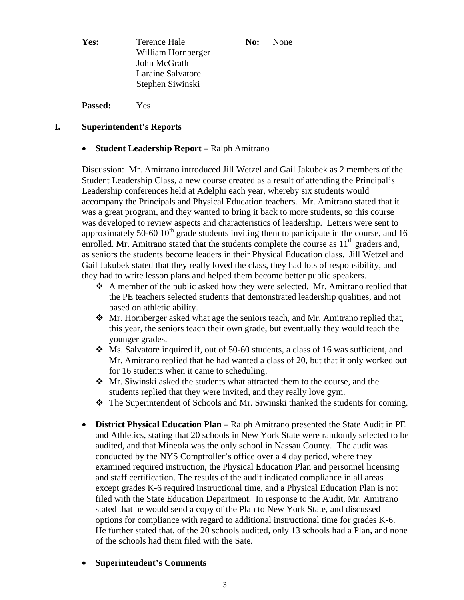**Yes:** Terence Hale **No:** None William Hornberger John McGrath Laraine Salvatore Stephen Siwinski

**Passed:** Yes

## **I. Superintendent's Reports**

### • **Student Leadership Report –** Ralph Amitrano

Discussion: Mr. Amitrano introduced Jill Wetzel and Gail Jakubek as 2 members of the Student Leadership Class, a new course created as a result of attending the Principal's Leadership conferences held at Adelphi each year, whereby six students would accompany the Principals and Physical Education teachers. Mr. Amitrano stated that it was a great program, and they wanted to bring it back to more students, so this course was developed to review aspects and characteristics of leadership. Letters were sent to approximately 50-60  $10<sup>th</sup>$  grade students inviting them to participate in the course, and 16 enrolled. Mr. Amitrano stated that the students complete the course as  $11<sup>th</sup>$  graders and, as seniors the students become leaders in their Physical Education class. Jill Wetzel and Gail Jakubek stated that they really loved the class, they had lots of responsibility, and they had to write lesson plans and helped them become better public speakers.

- A member of the public asked how they were selected. Mr. Amitrano replied that the PE teachers selected students that demonstrated leadership qualities, and not based on athletic ability.
- Mr. Hornberger asked what age the seniors teach, and Mr. Amitrano replied that, this year, the seniors teach their own grade, but eventually they would teach the younger grades.
- Ms. Salvatore inquired if, out of 50-60 students, a class of 16 was sufficient, and Mr. Amitrano replied that he had wanted a class of 20, but that it only worked out for 16 students when it came to scheduling.
- Mr. Siwinski asked the students what attracted them to the course, and the students replied that they were invited, and they really love gym.
- $\div$  The Superintendent of Schools and Mr. Siwinski thanked the students for coming.
- **District Physical Education Plan –** Ralph Amitrano presented the State Audit in PE and Athletics, stating that 20 schools in New York State were randomly selected to be audited, and that Mineola was the only school in Nassau County. The audit was conducted by the NYS Comptroller's office over a 4 day period, where they examined required instruction, the Physical Education Plan and personnel licensing and staff certification. The results of the audit indicated compliance in all areas except grades K-6 required instructional time, and a Physical Education Plan is not filed with the State Education Department. In response to the Audit, Mr. Amitrano stated that he would send a copy of the Plan to New York State, and discussed options for compliance with regard to additional instructional time for grades K-6. He further stated that, of the 20 schools audited, only 13 schools had a Plan, and none of the schools had them filed with the Sate.
- **Superintendent's Comments**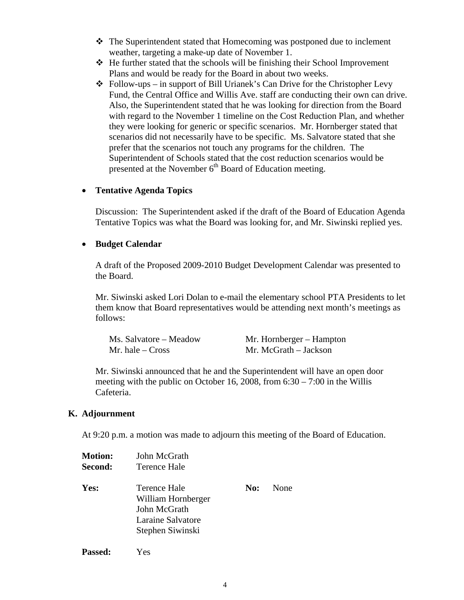- $\hat{\mathbf{v}}$  The Superintendent stated that Homecoming was postponed due to inclement weather, targeting a make-up date of November 1.
- $\div$  He further stated that the schools will be finishing their School Improvement Plans and would be ready for the Board in about two weeks.
- $\triangleleft$  Follow-ups in support of Bill Urianek's Can Drive for the Christopher Levy Fund, the Central Office and Willis Ave. staff are conducting their own can drive. Also, the Superintendent stated that he was looking for direction from the Board with regard to the November 1 timeline on the Cost Reduction Plan, and whether they were looking for generic or specific scenarios. Mr. Hornberger stated that scenarios did not necessarily have to be specific. Ms. Salvatore stated that she prefer that the scenarios not touch any programs for the children. The Superintendent of Schools stated that the cost reduction scenarios would be presented at the November  $6<sup>th</sup>$  Board of Education meeting.

### • **Tentative Agenda Topics**

Discussion: The Superintendent asked if the draft of the Board of Education Agenda Tentative Topics was what the Board was looking for, and Mr. Siwinski replied yes.

#### • **Budget Calendar**

A draft of the Proposed 2009-2010 Budget Development Calendar was presented to the Board.

Mr. Siwinski asked Lori Dolan to e-mail the elementary school PTA Presidents to let them know that Board representatives would be attending next month's meetings as follows:

Ms. Salvatore – Meadow Mr. Hornberger – Hampton Mr. hale – Cross Mr. McGrath – Jackson

Mr. Siwinski announced that he and the Superintendent will have an open door meeting with the public on October 16, 2008, from 6:30 – 7:00 in the Willis Cafeteria.

#### **K. Adjournment**

At 9:20 p.m. a motion was made to adjourn this meeting of the Board of Education.

| <b>Motion:</b> | John McGrath                                                                                |     |      |
|----------------|---------------------------------------------------------------------------------------------|-----|------|
| Second:        | Terence Hale                                                                                |     |      |
| Yes:           | Terence Hale<br>William Hornberger<br>John McGrath<br>Laraine Salvatore<br>Stephen Siwinski | No: | None |
| <b>Passed:</b> | Yes                                                                                         |     |      |